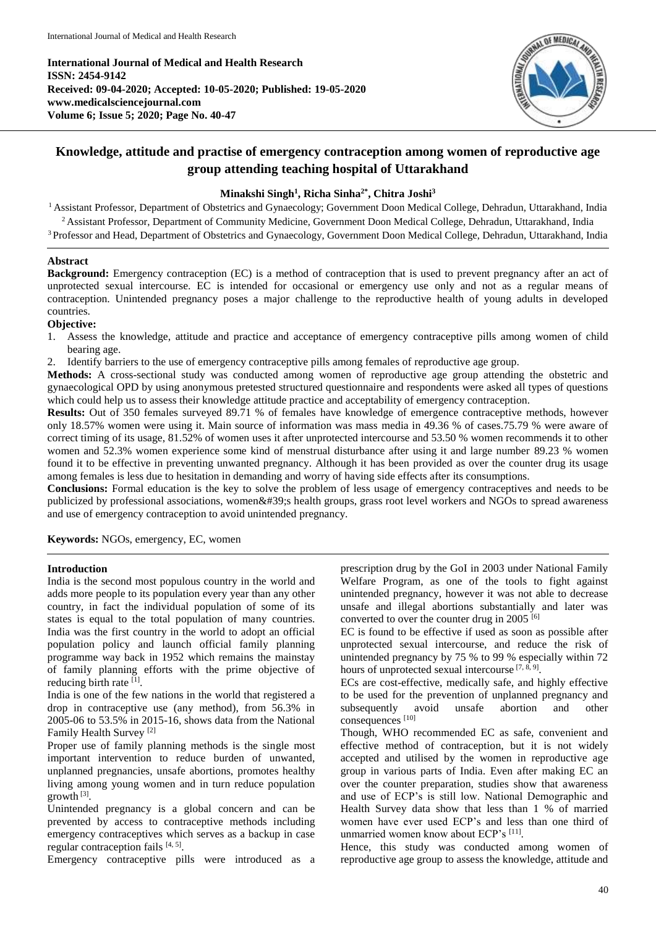**International Journal of Medical and Health Research ISSN: 2454-9142 Received: 09-04-2020; Accepted: 10-05-2020; Published: 19-05-2020 www.medicalsciencejournal.com Volume 6; Issue 5; 2020; Page No. 40-47**



# **Knowledge, attitude and practise of emergency contraception among women of reproductive age group attending teaching hospital of Uttarakhand**

## **Minakshi Singh<sup>1</sup> , Richa Sinha2\* , Chitra Joshi<sup>3</sup>**

<sup>1</sup> Assistant Professor, Department of Obstetrics and Gynaecology; Government Doon Medical College, Dehradun, Uttarakhand, India <sup>2</sup> Assistant Professor, Department of Community Medicine, Government Doon Medical College, Dehradun, Uttarakhand, India <sup>3</sup> Professor and Head, Department of Obstetrics and Gynaecology, Government Doon Medical College, Dehradun, Uttarakhand, India

#### **Abstract**

**Background:** Emergency contraception (EC) is a method of contraception that is used to prevent pregnancy after an act of unprotected sexual intercourse. EC is intended for occasional or emergency use only and not as a regular means of contraception. Unintended pregnancy poses a major challenge to the reproductive health of young adults in developed countries.

#### **Objective:**

- 1. Assess the knowledge, attitude and practice and acceptance of emergency contraceptive pills among women of child bearing age.
- 2. Identify barriers to the use of emergency contraceptive pills among females of reproductive age group.

**Methods:** A cross-sectional study was conducted among women of reproductive age group attending the obstetric and gynaecological OPD by using anonymous pretested structured questionnaire and respondents were asked all types of questions which could help us to assess their knowledge attitude practice and acceptability of emergency contraception.

**Results:** Out of 350 females surveyed 89.71 % of females have knowledge of emergence contraceptive methods, however only 18.57% women were using it. Main source of information was mass media in 49.36 % of cases.75.79 % were aware of correct timing of its usage, 81.52% of women uses it after unprotected intercourse and 53.50 % women recommends it to other women and 52.3% women experience some kind of menstrual disturbance after using it and large number 89.23 % women found it to be effective in preventing unwanted pregnancy. Although it has been provided as over the counter drug its usage among females is less due to hesitation in demanding and worry of having side effects after its consumptions.

**Conclusions:** Formal education is the key to solve the problem of less usage of emergency contraceptives and needs to be publicized by professional associations, women's health groups, grass root level workers and NGOs to spread awareness and use of emergency contraception to avoid unintended pregnancy.

**Keywords:** NGOs, emergency, EC, women

#### **Introduction**

India is the second most populous country in the world and adds more people to its population every year than any other country, in fact the individual population of some of its states is equal to the total population of many countries. India was the first country in the world to adopt an official population policy and launch official family planning programme way back in 1952 which remains the mainstay of family planning efforts with the prime objective of reducing birth rate [1].

India is one of the few nations in the world that registered a drop in contraceptive use (any method), from 56.3% in 2005-06 to 53.5% in 2015-16, shows data from the National Family Health Survey [2]

Proper use of family planning methods is the single most important intervention to reduce burden of unwanted, unplanned pregnancies, unsafe abortions, promotes healthy living among young women and in turn reduce population growth [3] .

Unintended pregnancy is a global concern and can be prevented by access to contraceptive methods including emergency contraceptives which serves as a backup in case regular contraception fails [4, 5].

Emergency contraceptive pills were introduced as a

prescription drug by the GoI in 2003 under National Family Welfare Program, as one of the tools to fight against unintended pregnancy, however it was not able to decrease unsafe and illegal abortions substantially and later was converted to over the counter drug in 2005<sup>[6]</sup>

EC is found to be effective if used as soon as possible after unprotected sexual intercourse, and reduce the risk of unintended pregnancy by 75 % to 99 % especially within 72 hours of unprotected sexual intercourse [7, 8, 9].

ECs are cost-effective, medically safe, and highly effective to be used for the prevention of unplanned pregnancy and subsequently avoid unsafe abortion and other consequences [10]

Though, WHO recommended EC as safe, convenient and effective method of contraception, but it is not widely accepted and utilised by the women in reproductive age group in various parts of India. Even after making EC an over the counter preparation, studies show that awareness and use of ECP's is still low. National Demographic and Health Survey data show that less than 1 % of married women have ever used ECP's and less than one third of unmarried women know about ECP's [11].

Hence, this study was conducted among women of reproductive age group to assess the knowledge, attitude and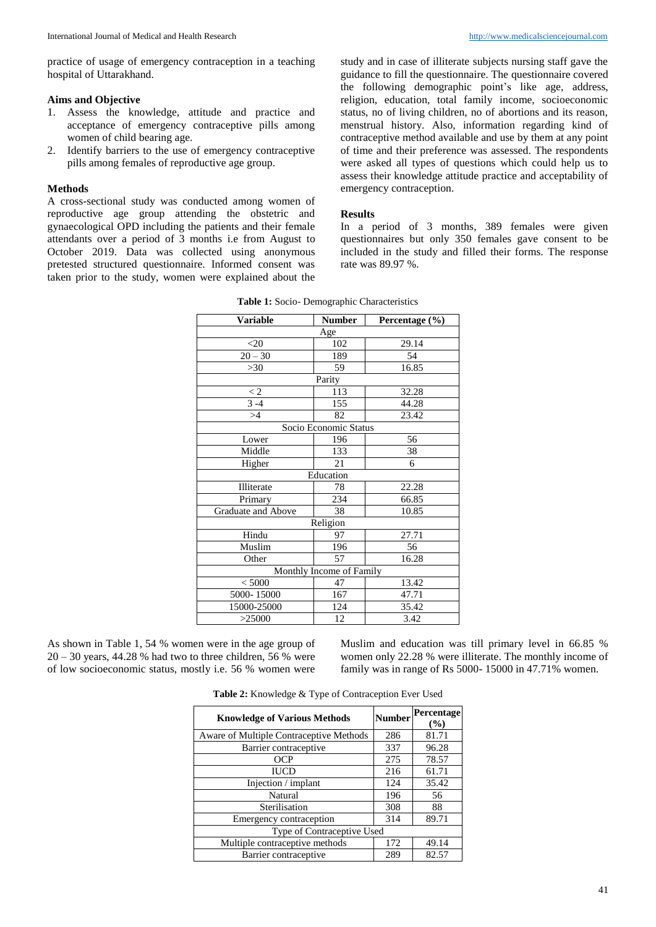practice of usage of emergency contraception in a teaching hospital of Uttarakhand.

#### **Aims and Objective**

- 1. Assess the knowledge, attitude and practice and acceptance of emergency contraceptive pills among women of child bearing age.
- 2. Identify barriers to the use of emergency contraceptive pills among females of reproductive age group.

#### **Methods**

A cross-sectional study was conducted among women of reproductive age group attending the obstetric and gynaecological OPD including the patients and their female attendants over a period of 3 months i.e from August to October 2019. Data was collected using anonymous pretested structured questionnaire. Informed consent was taken prior to the study, women were explained about the

study and in case of illiterate subjects nursing staff gave the guidance to fill the questionnaire. The questionnaire covered the following demographic point's like age, address, religion, education, total family income, socioeconomic status, no of living children, no of abortions and its reason, menstrual history. Also, information regarding kind of contraceptive method available and use by them at any point of time and their preference was assessed. The respondents were asked all types of questions which could help us to assess their knowledge attitude practice and acceptability of emergency contraception.

#### **Results**

In a period of 3 months, 389 females were given questionnaires but only 350 females gave consent to be included in the study and filled their forms. The response rate was 89.97 %.

| <b>Table 1:</b> Socio- Demographic Characteristics |                       |                |  |  |
|----------------------------------------------------|-----------------------|----------------|--|--|
| <b>Variable</b>                                    | <b>Number</b>         | Percentage (%) |  |  |
|                                                    | Age                   |                |  |  |
| $20$                                               | 102                   | 29.14          |  |  |
| $20 - 30$                                          | 189                   | 54             |  |  |
| $>30$                                              | 59                    | 16.85          |  |  |
|                                                    | Parity                |                |  |  |
| $\lt 2$                                            | 113                   | 32.28          |  |  |
| $3 - 4$                                            | 155                   | 44.28          |  |  |
| >4                                                 | 82                    | 23.42          |  |  |
|                                                    | Socio Economic Status |                |  |  |
| Lower                                              | 196                   | 56             |  |  |
| Middle                                             | 133                   | 38             |  |  |
| Higher                                             | 21                    | 6              |  |  |
| Education                                          |                       |                |  |  |
| Illiterate                                         | 78                    | 22.28          |  |  |
| Primary                                            | 234                   | 66.85          |  |  |
| Graduate and Above                                 | 38                    | 10.85          |  |  |
|                                                    | Religion              |                |  |  |
| Hindu                                              | 97                    | 27.71          |  |  |
| Muslim                                             | 196                   | 56             |  |  |
| Other                                              | 57                    | 16.28          |  |  |
| Monthly Income of Family                           |                       |                |  |  |
| < 5000                                             | 47                    | 13.42          |  |  |
| 5000-15000                                         | 167                   | 47.71          |  |  |
| 15000-25000                                        | 124                   | 35.42          |  |  |
| >25000                                             | 12                    | 3.42           |  |  |

|  | Table 1: Socio- Demographic Characteristics |
|--|---------------------------------------------|
|--|---------------------------------------------|

As shown in Table 1, 54 % women were in the age group of  $20 - 30$  years, 44.28 % had two to three children, 56 % were of low socioeconomic status, mostly i.e. 56 % women were Muslim and education was till primary level in 66.85 % women only 22.28 % were illiterate. The monthly income of family was in range of Rs 5000- 15000 in 47.71% women.

| Table 2: Knowledge & Type of Contraception Ever Used |  |  |  |
|------------------------------------------------------|--|--|--|
|------------------------------------------------------|--|--|--|

| <b>Knowledge of Various Methods</b>     | <b>Number</b> | Percentage<br>$($ %) |
|-----------------------------------------|---------------|----------------------|
| Aware of Multiple Contraceptive Methods | 286           | 81.71                |
| Barrier contraceptive                   | 337           | 96.28                |
| OCP                                     | 275           | 78.57                |
| <b>IUCD</b>                             | 216           | 61.71                |
| Injection / implant                     | 124           | 35.42                |
| Natural                                 | 196           | 56                   |
| Sterilisation                           | 308           | 88                   |
| Emergency contraception                 | 314           | 89.71                |
| Type of Contraceptive Used              |               |                      |
| Multiple contraceptive methods          | 172           | 49.14                |
| Barrier contraceptive                   | 289           | 82.57                |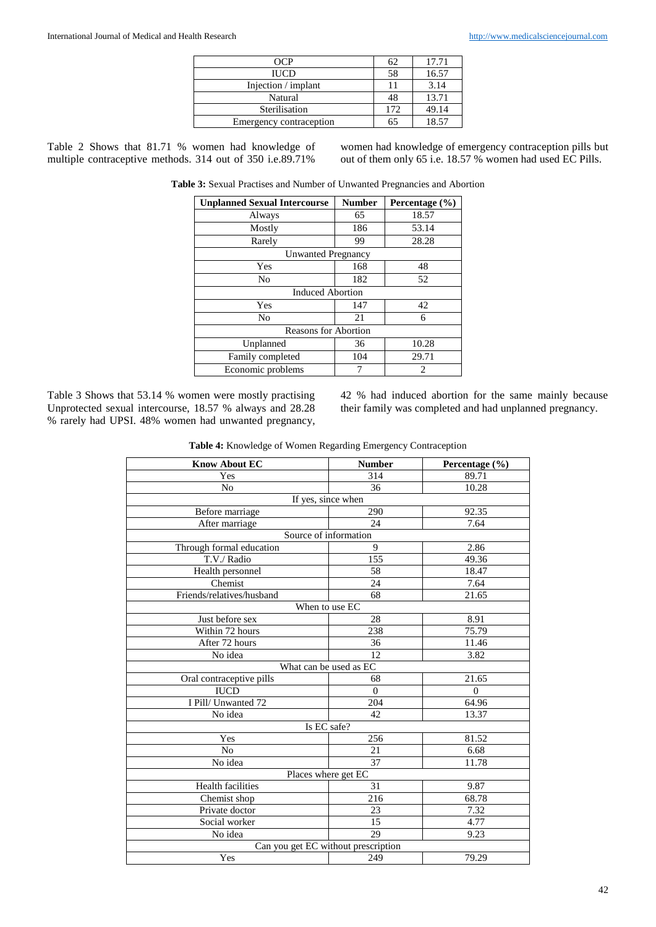| 1 JC P                  | 62  | 17.71 |
|-------------------------|-----|-------|
| <b>IUCD</b>             | 58  | 16.57 |
| Injection / implant     |     | 3.14  |
| Natural                 | 48  | 13.71 |
| Sterilisation           | 172 | 49.14 |
| Emergency contraception | 65  | 18.57 |

Table 2 Shows that 81.71 % women had knowledge of multiple contraceptive methods. 314 out of 350 i.e.89.71%

women had knowledge of emergency contraception pills but out of them only 65 i.e. 18.57 % women had used EC Pills.

**Table 3:** Sexual Practises and Number of Unwanted Pregnancies and Abortion

| <b>Unplanned Sexual Intercourse</b> | <b>Number</b> | Percentage $(\% )$ |  |
|-------------------------------------|---------------|--------------------|--|
| Always                              | 65            | 18.57              |  |
| Mostly                              | 186           | 53.14              |  |
| Rarely                              | 99            | 28.28              |  |
| <b>Unwanted Pregnancy</b>           |               |                    |  |
| Yes                                 | 168           | 48                 |  |
| N <sub>0</sub>                      | 182           | 52                 |  |
| <b>Induced Abortion</b>             |               |                    |  |
| Yes                                 | 147           | 42                 |  |
| No                                  | 21            | 6                  |  |
| <b>Reasons for Abortion</b>         |               |                    |  |
| Unplanned                           | 36            | 10.28              |  |
| Family completed                    | 104           | 29.71              |  |
| Economic problems                   | 7             | 2                  |  |

Table 3 Shows that 53.14 % women were mostly practising Unprotected sexual intercourse, 18.57 % always and 28.28 % rarely had UPSI. 48% women had unwanted pregnancy, 42 % had induced abortion for the same mainly because their family was completed and had unplanned pregnancy.

| Table 4: Knowledge of Women Regarding Emergency Contraception |  |  |  |
|---------------------------------------------------------------|--|--|--|
|---------------------------------------------------------------|--|--|--|

| <b>Know About EC</b>                | <b>Number</b>         | Percentage (%) |  |
|-------------------------------------|-----------------------|----------------|--|
| Yes                                 | 314                   | 89.71          |  |
| N <sub>0</sub>                      | 36                    | 10.28          |  |
|                                     | If yes, since when    |                |  |
| Before marriage                     | 290                   | 92.35          |  |
| After marriage                      | 24                    | 7.64           |  |
|                                     | Source of information |                |  |
| Through formal education            | 9                     | 2.86           |  |
| T.V./ Radio                         | 155                   | 49.36          |  |
| Health personnel                    | 58                    | 18.47          |  |
| Chemist                             | 24                    | 7.64           |  |
| Friends/relatives/husband           | 68                    | 21.65          |  |
|                                     | When to use EC        |                |  |
| Just before sex                     | 28                    | 8.91           |  |
| Within 72 hours                     | 238                   | 75.79          |  |
| After 72 hours                      | 36                    | 11.46          |  |
| No idea                             | 12                    | 3.82           |  |
| What can be used as EC              |                       |                |  |
| Oral contraceptive pills            | 68                    | 21.65          |  |
| <b>IUCD</b>                         | $\Omega$              | $\theta$       |  |
| I Pill/ Unwanted 72                 | 204                   | 64.96          |  |
| No idea                             | 42                    | 13.37          |  |
| Is EC safe?                         |                       |                |  |
| Yes                                 | 256                   | 81.52          |  |
| N <sub>o</sub>                      | 21                    | 6.68           |  |
| No idea                             | 37                    | 11.78          |  |
| Places where get EC                 |                       |                |  |
| Health facilities                   | 31                    | 9.87           |  |
| Chemist shop                        | 216                   | 68.78          |  |
| Private doctor                      | 23                    | 7.32           |  |
| Social worker                       | 15                    | 4.77           |  |
| No idea                             | 29                    | 9.23           |  |
| Can you get EC without prescription |                       |                |  |
| Yes                                 | 249                   | 79.29          |  |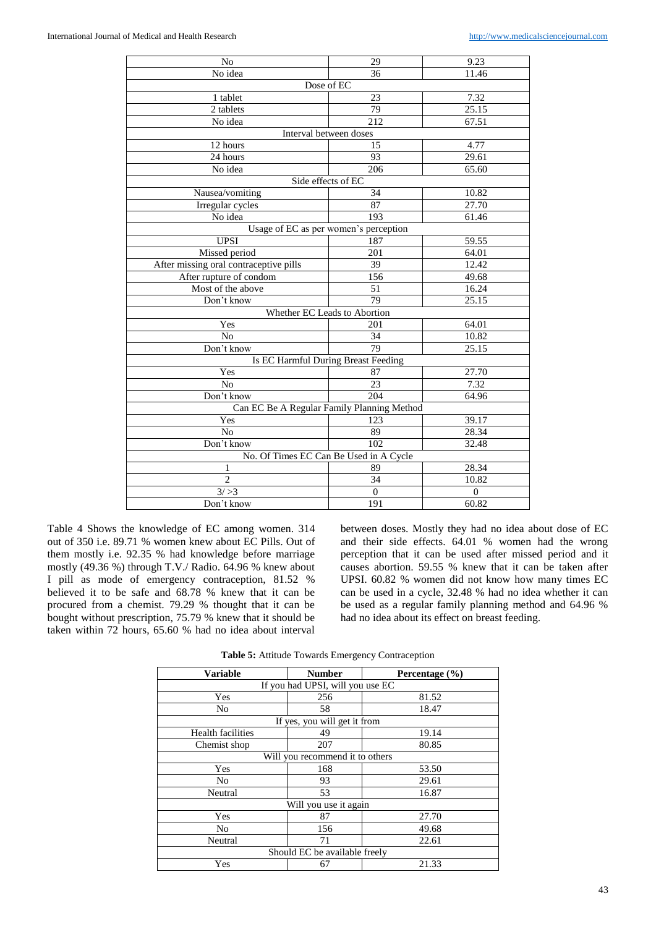| N <sub>0</sub>                         | 29                                         | 9.23               |
|----------------------------------------|--------------------------------------------|--------------------|
| No idea                                | 36                                         | 11.46              |
|                                        | Dose of EC                                 |                    |
| 1 tablet                               | 23                                         | 7.32               |
| 2 tablets                              | 79                                         | $25.\overline{15}$ |
| No idea                                | 212                                        | 67.51              |
|                                        | Interval between doses                     |                    |
| 12 hours                               | 15                                         | 4.77               |
| 24 hours                               | 93                                         | 29.61              |
| No idea                                | 206                                        | 65.60              |
|                                        | Side effects of EC                         |                    |
| Nausea/vomiting                        | 34                                         | 10.82              |
| Irregular cycles                       | 87                                         | 27.70              |
| No idea                                | 193                                        | 61.46              |
|                                        | Usage of EC as per women's perception      |                    |
| <b>UPSI</b>                            | 187                                        | 59.55              |
| Missed period                          | 201                                        | 64.01              |
| After missing oral contraceptive pills | 39                                         | 12.42              |
| After rupture of condom                | 156                                        | 49.68              |
| Most of the above                      | 51                                         | 16.24              |
| Don't know                             | 79                                         | 25.15              |
|                                        | Whether EC Leads to Abortion               |                    |
| Yes                                    | 201                                        | 64.01              |
| No                                     | 34                                         | 10.82              |
| Don't know                             | 79                                         | 25.15              |
|                                        | Is EC Harmful During Breast Feeding        |                    |
| Yes                                    | 87                                         | 27.70              |
| N <sub>o</sub>                         | 23                                         | 7.32               |
| Don't know                             | 204                                        | 64.96              |
|                                        | Can EC Be A Regular Family Planning Method |                    |
| Yes                                    | 123                                        | 39.17              |
| N <sub>o</sub>                         | 89                                         | 28.34              |
| Don't know                             | 102                                        | 32.48              |
|                                        | No. Of Times EC Can Be Used in A Cycle     |                    |
| 1                                      | 89                                         | 28.34              |
| $\overline{2}$                         | 34                                         | 10.82              |
| $\frac{1}{3}$ />3                      | $\boldsymbol{0}$                           | $\mathbf{0}$       |
| Don't know                             | 191                                        | 60.82              |

Table 4 Shows the knowledge of EC among women. 314 out of 350 i.e. 89.71 % women knew about EC Pills. Out of them mostly i.e. 92.35 % had knowledge before marriage mostly (49.36 %) through T.V./ Radio. 64.96 % knew about I pill as mode of emergency contraception, 81.52 % believed it to be safe and 68.78 % knew that it can be procured from a chemist. 79.29 % thought that it can be bought without prescription, 75.79 % knew that it should be taken within 72 hours, 65.60 % had no idea about interval

between doses. Mostly they had no idea about dose of EC and their side effects. 64.01 % women had the wrong perception that it can be used after missed period and it causes abortion. 59.55 % knew that it can be taken after UPSI. 60.82 % women did not know how many times EC can be used in a cycle, 32.48 % had no idea whether it can be used as a regular family planning method and 64.96 % had no idea about its effect on breast feeding.

| <b>Number</b>                    | Percentage $(\% )$ |  |  |  |
|----------------------------------|--------------------|--|--|--|
| If you had UPSI, will you use EC |                    |  |  |  |
| 256                              | 81.52              |  |  |  |
| 58                               | 18.47              |  |  |  |
| If yes, you will get it from     |                    |  |  |  |
| 49                               | 19.14              |  |  |  |
| 207                              | 80.85              |  |  |  |
| Will you recommend it to others  |                    |  |  |  |
| 168                              | 53.50              |  |  |  |
| 93                               | 29.61              |  |  |  |
| 53                               | 16.87              |  |  |  |
| Will you use it again            |                    |  |  |  |
| 87                               | 27.70              |  |  |  |
| 156                              | 49.68              |  |  |  |
| 71                               | 22.61              |  |  |  |
| Should EC be available freely    |                    |  |  |  |
| 67                               | 21.33              |  |  |  |
|                                  |                    |  |  |  |

**Table 5:** Attitude Towards Emergency Contraception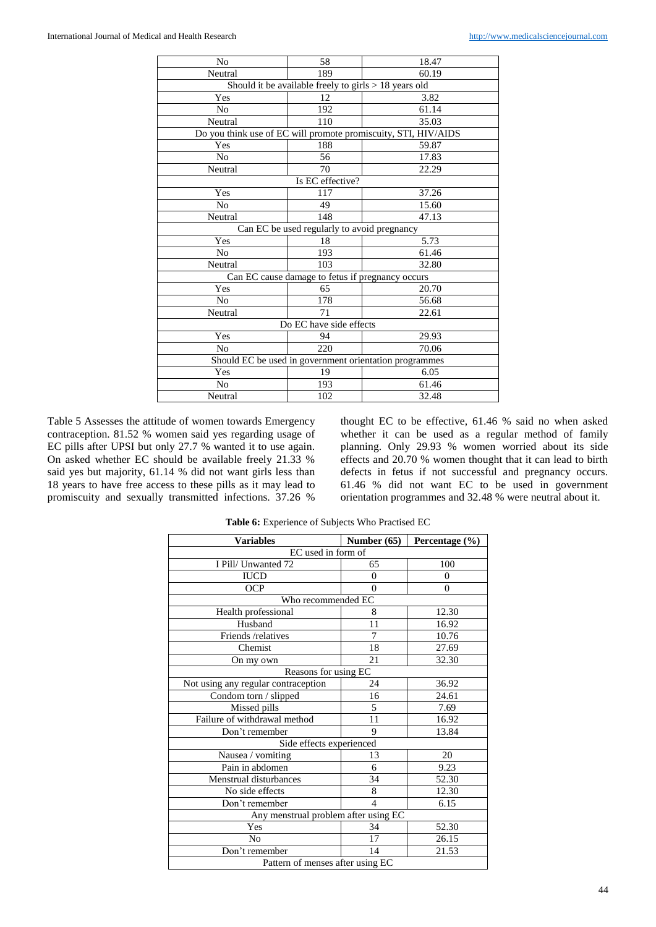| No                                                     | 58                                                      | 18.47                                                          |  |
|--------------------------------------------------------|---------------------------------------------------------|----------------------------------------------------------------|--|
| Neutral                                                | 189                                                     | 60.19                                                          |  |
|                                                        | Should it be available freely to girls $> 18$ years old |                                                                |  |
| Yes                                                    | 12                                                      | 3.82                                                           |  |
| N <sub>o</sub>                                         | 192                                                     | 61.14                                                          |  |
| Neutral                                                | 110                                                     | 35.03                                                          |  |
|                                                        |                                                         | Do you think use of EC will promote promiscuity, STI, HIV/AIDS |  |
| Yes                                                    | 188                                                     | 59.87                                                          |  |
| No                                                     | 56                                                      | 17.83                                                          |  |
| Neutral                                                | 70                                                      | 22.29                                                          |  |
|                                                        | Is EC effective?                                        |                                                                |  |
| Yes                                                    | 117                                                     | 37.26                                                          |  |
| N <sub>0</sub>                                         | 49                                                      | 15.60                                                          |  |
| Neutral                                                | 148                                                     | 47.13                                                          |  |
| Can EC be used regularly to avoid pregnancy            |                                                         |                                                                |  |
| Yes                                                    | 18                                                      | 5.73                                                           |  |
| N <sub>0</sub>                                         | 193                                                     | 61.46                                                          |  |
| Neutral                                                | 103                                                     | 32.80                                                          |  |
| Can EC cause damage to fetus if pregnancy occurs       |                                                         |                                                                |  |
| Yes                                                    | 65                                                      | 20.70                                                          |  |
| N <sub>0</sub>                                         | 178                                                     | 56.68                                                          |  |
| Neutral                                                | 71                                                      | 22.61                                                          |  |
| Do EC have side effects                                |                                                         |                                                                |  |
| Yes                                                    | 94                                                      | 29.93                                                          |  |
| N <sub>0</sub>                                         | 220                                                     | 70.06                                                          |  |
| Should EC be used in government orientation programmes |                                                         |                                                                |  |
| Yes                                                    | 19                                                      | 6.05                                                           |  |
| N <sub>0</sub>                                         | 193                                                     | 61.46                                                          |  |
| Neutral                                                | 102                                                     | 32.48                                                          |  |
|                                                        |                                                         |                                                                |  |

Table 5 Assesses the attitude of women towards Emergency contraception. 81.52 % women said yes regarding usage of EC pills after UPSI but only 27.7 % wanted it to use again. On asked whether EC should be available freely 21.33 % said yes but majority, 61.14 % did not want girls less than 18 years to have free access to these pills as it may lead to promiscuity and sexually transmitted infections. 37.26 %

thought EC to be effective, 61.46 % said no when asked whether it can be used as a regular method of family planning. Only 29.93 % women worried about its side effects and 20.70 % women thought that it can lead to birth defects in fetus if not successful and pregnancy occurs. 61.46 % did not want EC to be used in government orientation programmes and 32.48 % were neutral about it.

| <b>Variables</b>                     | Number $(65)$            | Percentage (%) |  |
|--------------------------------------|--------------------------|----------------|--|
| EC used in form of                   |                          |                |  |
| I Pill/ Unwanted 72                  | 65                       | 100            |  |
| <b>IUCD</b>                          | $\theta$                 | $\Omega$       |  |
| <b>OCP</b>                           | $\theta$                 | $\theta$       |  |
| Who recommended EC                   |                          |                |  |
| Health professional                  | 8                        | 12.30          |  |
| Husband                              | 11                       | 16.92          |  |
| Friends /relatives                   | 7                        | 10.76          |  |
| Chemist                              | 18                       | 27.69          |  |
| On my own                            | 21                       | 32.30          |  |
| Reasons for using EC                 |                          |                |  |
| Not using any regular contraception  | 24                       | 36.92          |  |
| Condom torn / slipped                | 16                       | 24.61          |  |
| Missed pills                         | 5                        | 7.69           |  |
| Failure of withdrawal method         | 11                       | 16.92          |  |
| Don't remember                       | 9                        | 13.84          |  |
| Side effects experienced             |                          |                |  |
| Nausea / vomiting                    | 13                       | 20             |  |
| Pain in abdomen                      | 6                        | 9.23           |  |
| Menstrual disturbances               | 34                       | 52.30          |  |
| No side effects                      | 8                        | 12.30          |  |
| Don't remember                       | $\overline{\mathcal{L}}$ | 6.15           |  |
| Any menstrual problem after using EC |                          |                |  |
| Yes                                  | 34                       | 52.30          |  |
| N <sub>0</sub>                       | 17                       | 26.15          |  |
| Don't remember                       | 14                       | 21.53          |  |
| Pattern of menses after using EC     |                          |                |  |

**Table 6:** Experience of Subjects Who Practised EC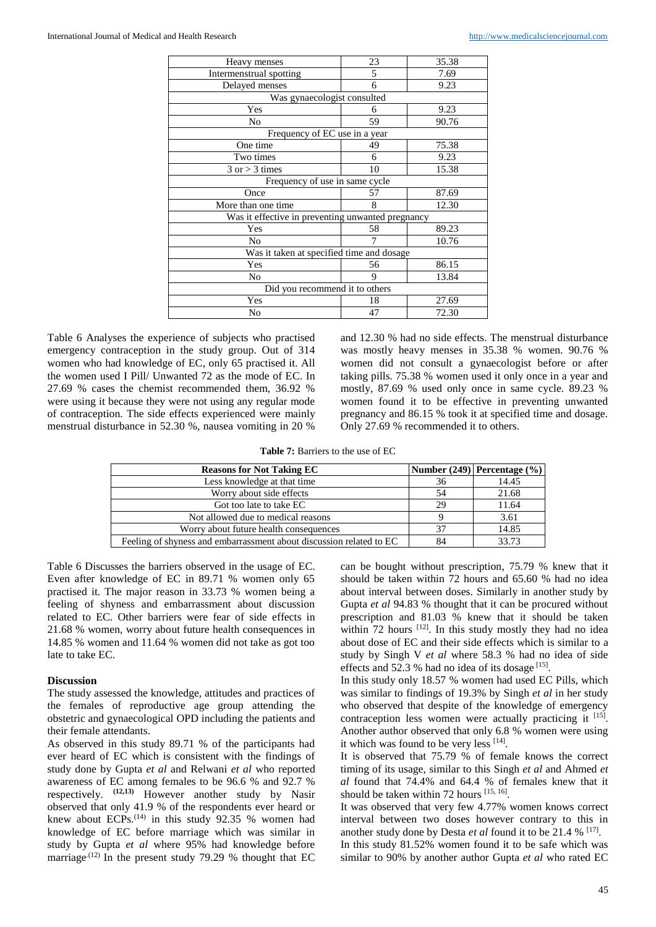| Heavy menses                                      | 23 | 35.38 |  |  |
|---------------------------------------------------|----|-------|--|--|
| Intermenstrual spotting                           | 5  | 7.69  |  |  |
| Delayed menses                                    | 6  | 9.23  |  |  |
| Was gynaecologist consulted                       |    |       |  |  |
| Yes                                               | 6  | 9.23  |  |  |
| No                                                | 59 | 90.76 |  |  |
| Frequency of EC use in a year                     |    |       |  |  |
| One time                                          | 49 | 75.38 |  |  |
| Two times                                         | 6  | 9.23  |  |  |
| $3$ or $>$ 3 times                                | 10 | 15.38 |  |  |
| Frequency of use in same cycle                    |    |       |  |  |
| Once                                              | 57 | 87.69 |  |  |
| More than one time                                | 8  | 12.30 |  |  |
| Was it effective in preventing unwanted pregnancy |    |       |  |  |
| Yes                                               | 58 | 89.23 |  |  |
| No                                                | 7  | 10.76 |  |  |
| Was it taken at specified time and dosage         |    |       |  |  |
| Yes                                               | 56 | 86.15 |  |  |
| No                                                | 9  | 13.84 |  |  |
| Did you recommend it to others                    |    |       |  |  |
| Yes                                               | 18 | 27.69 |  |  |
| No                                                | 47 | 72.30 |  |  |

Table 6 Analyses the experience of subjects who practised emergency contraception in the study group. Out of 314 women who had knowledge of EC, only 65 practised it. All the women used I Pill/ Unwanted 72 as the mode of EC. In 27.69 % cases the chemist recommended them, 36.92 % were using it because they were not using any regular mode of contraception. The side effects experienced were mainly menstrual disturbance in 52.30 %, nausea vomiting in 20 %

and 12.30 % had no side effects. The menstrual disturbance was mostly heavy menses in 35.38 % women. 90.76 % women did not consult a gynaecologist before or after taking pills. 75.38 % women used it only once in a year and mostly, 87.69 % used only once in same cycle. 89.23 % women found it to be effective in preventing unwanted pregnancy and 86.15 % took it at specified time and dosage. Only 27.69 % recommended it to others.

**Table 7:** Barriers to the use of EC

| <b>Reasons for Not Taking EC</b>                                    |     | $\vert$ Number (249)   Percentage (%) |
|---------------------------------------------------------------------|-----|---------------------------------------|
| Less knowledge at that time                                         | 36  | 14.45                                 |
| Worry about side effects                                            | .54 | 21.68                                 |
| Got too late to take EC                                             | 29  | 11.64                                 |
| Not allowed due to medical reasons                                  |     | 3.61                                  |
| Worry about future health consequences                              | 37  | 14.85                                 |
| Feeling of shyness and embarrassment about discussion related to EC | 84  | 33.73                                 |

Table 6 Discusses the barriers observed in the usage of EC. Even after knowledge of EC in 89.71 % women only 65 practised it. The major reason in 33.73 % women being a feeling of shyness and embarrassment about discussion related to EC. Other barriers were fear of side effects in 21.68 % women, worry about future health consequences in 14.85 % women and 11.64 % women did not take as got too late to take EC.

#### **Discussion**

The study assessed the knowledge, attitudes and practices of the females of reproductive age group attending the obstetric and gynaecological OPD including the patients and their female attendants.

As observed in this study 89.71 % of the participants had ever heard of EC which is consistent with the findings of study done by Gupta *et al* and Relwani *et al* who reported awareness of EC among females to be 96.6 % and 92.7 % respectively. **(12,13)** However another study by Nasir observed that only 41.9 % of the respondents ever heard or knew about ECPs.<sup>(14)</sup> in this study 92.35 % women had knowledge of EC before marriage which was similar in study by Gupta *et al* where 95% had knowledge before marriage<sup> $(12)$ </sup> In the present study 79.29 % thought that EC

can be bought without prescription, 75.79 % knew that it should be taken within 72 hours and 65.60 % had no idea about interval between doses. Similarly in another study by Gupta *et al* 94.83 % thought that it can be procured without prescription and 81.03 % knew that it should be taken within 72 hours [12]. In this study mostly they had no idea about dose of EC and their side effects which is similar to a study by Singh V *et al* where 58.3 % had no idea of side effects and 52.3 % had no idea of its dosage [15].

In this study only 18.57 % women had used EC Pills, which was similar to findings of 19.3% by Singh *et al* in her study who observed that despite of the knowledge of emergency contraception less women were actually practicing it [15]. Another author observed that only 6.8 % women were using it which was found to be very less [14].

It is observed that 75.79 % of female knows the correct timing of its usage, similar to this Singh *et al* and Ahmed *et al* found that 74.4% and 64.4 % of females knew that it should be taken within 72 hours [15, 16].

It was observed that very few 4.77% women knows correct interval between two doses however contrary to this in another study done by Desta *et al* found it to be 21.4 % <sup>[17]</sup>.

In this study 81.52% women found it to be safe which was similar to 90% by another author Gupta *et al* who rated EC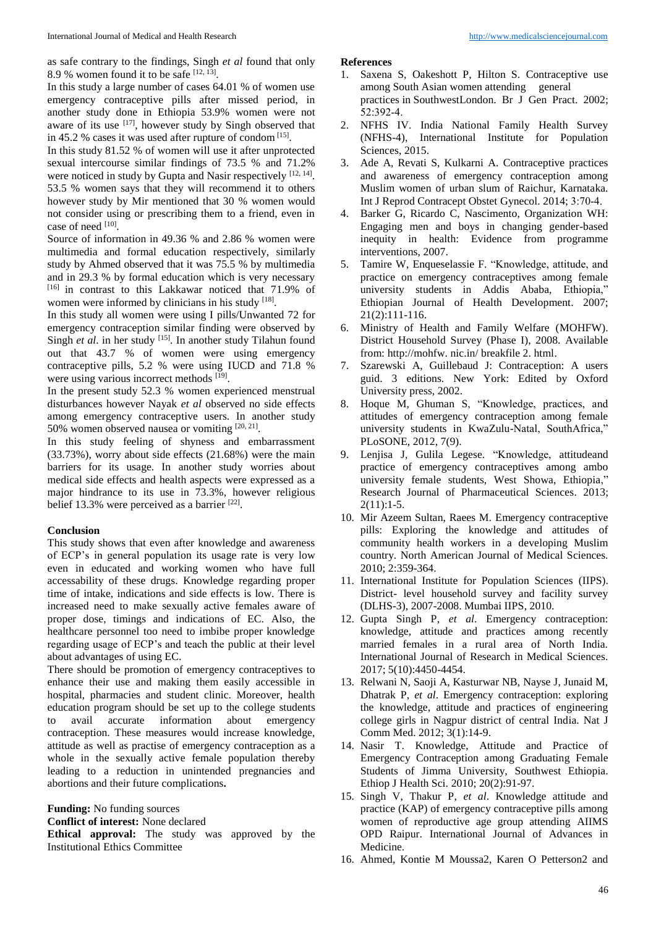as safe contrary to the findings, Singh *et al* found that only 8.9 % women found it to be safe  $[12, 13]$ .

In this study a large number of cases 64.01 % of women use emergency contraceptive pills after missed period, in another study done in Ethiopia 53.9% women were not aware of its use  $[17]$ , however study by Singh observed that in 45.2 % cases it was used after rupture of condom  $[15]$ .

In this study 81.52 % of women will use it after unprotected sexual intercourse similar findings of 73.5 % and 71.2% were noticed in study by Gupta and Nasir respectively [12, 14]. 53.5 % women says that they will recommend it to others however study by Mir mentioned that 30 % women would not consider using or prescribing them to a friend, even in case of need <sup>[10]</sup>.

Source of information in 49.36 % and 2.86 % women were multimedia and formal education respectively, similarly study by Ahmed observed that it was 75.5 % by multimedia and in 29.3 % by formal education which is very necessary [16] in contrast to this Lakkawar noticed that 71.9% of women were informed by clinicians in his study [18].

In this study all women were using I pills/Unwanted 72 for emergency contraception similar finding were observed by Singh *et al*. in her study <sup>[15]</sup>. In another study Tilahun found out that 43.7 % of women were using emergency contraceptive pills, 5.2 % were using IUCD and 71.8 % were using various incorrect methods [19].

In the present study 52.3 % women experienced menstrual disturbances however Nayak *et al* observed no side effects among emergency contraceptive users. In another study 50% women observed nausea or vomiting  $[20, 21]$ .

In this study feeling of shyness and embarrassment (33.73%), worry about side effects (21.68%) were the main barriers for its usage. In another study worries about medical side effects and health aspects were expressed as a major hindrance to its use in 73.3%, however religious belief 13.3% were perceived as a barrier [22].

### **Conclusion**

This study shows that even after knowledge and awareness of ECP's in general population its usage rate is very low even in educated and working women who have full accessability of these drugs. Knowledge regarding proper time of intake, indications and side effects is low. There is increased need to make sexually active females aware of proper dose, timings and indications of EC. Also, the healthcare personnel too need to imbibe proper knowledge regarding usage of ECP's and teach the public at their level about advantages of using EC.

There should be promotion of emergency contraceptives to enhance their use and making them easily accessible in hospital, pharmacies and student clinic. Moreover, health education program should be set up to the college students to avail accurate information about emergency contraception. These measures would increase knowledge, attitude as well as practise of emergency contraception as a whole in the sexually active female population thereby leading to a reduction in unintended pregnancies and abortions and their future complications**.**

#### **Funding:** No funding sources

**Conflict of interest:** None declared

**Ethical approval:** The study was approved by the Institutional Ethics Committee

#### **References**

- 1. Saxena S, Oakeshott P, Hilton S. Contraceptive use among South Asian women attending general practices in SouthwestLondon. Br J Gen Pract. 2002; 52:392‑4.
- 2. NFHS IV. India National Family Health Survey (NFHS-4), International Institute for Population Sciences, 2015.
- 3. Ade A, Revati S, Kulkarni A. Contraceptive practices and awareness of emergency contraception among Muslim women of urban slum of Raichur, Karnataka. Int J Reprod Contracept Obstet Gynecol. 2014; 3:70‑4.
- 4. Barker G, Ricardo C, Nascimento, Organization WH: Engaging men and boys in changing gender-based inequity in health: Evidence from programme interventions, 2007.
- 5. Tamire W, Enqueselassie F. "Knowledge, attitude, and practice on emergency contraceptives among female university students in Addis Ababa, Ethiopia," Ethiopian Journal of Health Development. 2007; 21(2):111-116.
- 6. Ministry of Health and Family Welfare (MOHFW). District Household Survey (Phase I), 2008. Available from: http://mohfw. nic.in/ breakfile 2. html.
- 7. Szarewski A, Guillebaud J: Contraception: A users guid. 3 editions. New York: Edited by Oxford University press, 2002.
- 8. Hoque M, Ghuman S, "Knowledge, practices, and attitudes of emergency contraception among female university students in KwaZulu-Natal, SouthAfrica," PLoSONE, 2012, 7(9).
- 9. Lenjisa J, Gulila Legese. "Knowledge, attitudeand practice of emergency contraceptives among ambo university female students, West Showa, Ethiopia," Research Journal of Pharmaceutical Sciences. 2013;  $2(11):1-5.$
- 10. Mir Azeem Sultan, Raees M. Emergency contraceptive pills: Exploring the knowledge and attitudes of community health workers in a developing Muslim country. North American Journal of Medical Sciences. 2010; 2:359-364.
- 11. International Institute for Population Sciences (IIPS). District- level household survey and facility survey (DLHS-3), 2007-2008. Mumbai IIPS, 2010.
- 12. Gupta Singh P, *et al*. Emergency contraception: knowledge, attitude and practices among recently married females in a rural area of North India. International Journal of Research in Medical Sciences. 2017; 5(10):4450-4454.
- 13. Relwani N, Saoji A, Kasturwar NB, Nayse J, Junaid M, Dhatrak P, *et al*. Emergency contraception: exploring the knowledge, attitude and practices of engineering college girls in Nagpur district of central India. Nat J Comm Med. 2012; 3(1):14-9.
- 14. Nasir T. Knowledge, Attitude and Practice of Emergency Contraception among Graduating Female Students of Jimma University, Southwest Ethiopia. Ethiop J Health Sci. 2010; 20(2):91-97.
- 15. Singh V, Thakur P, *et al*. Knowledge attitude and practice (KAP) of emergency contraceptive pills among women of reproductive age group attending AIIMS OPD Raipur. International Journal of Advances in Medicine.
- 16. Ahmed, Kontie M Moussa2, Karen O Petterson2 and